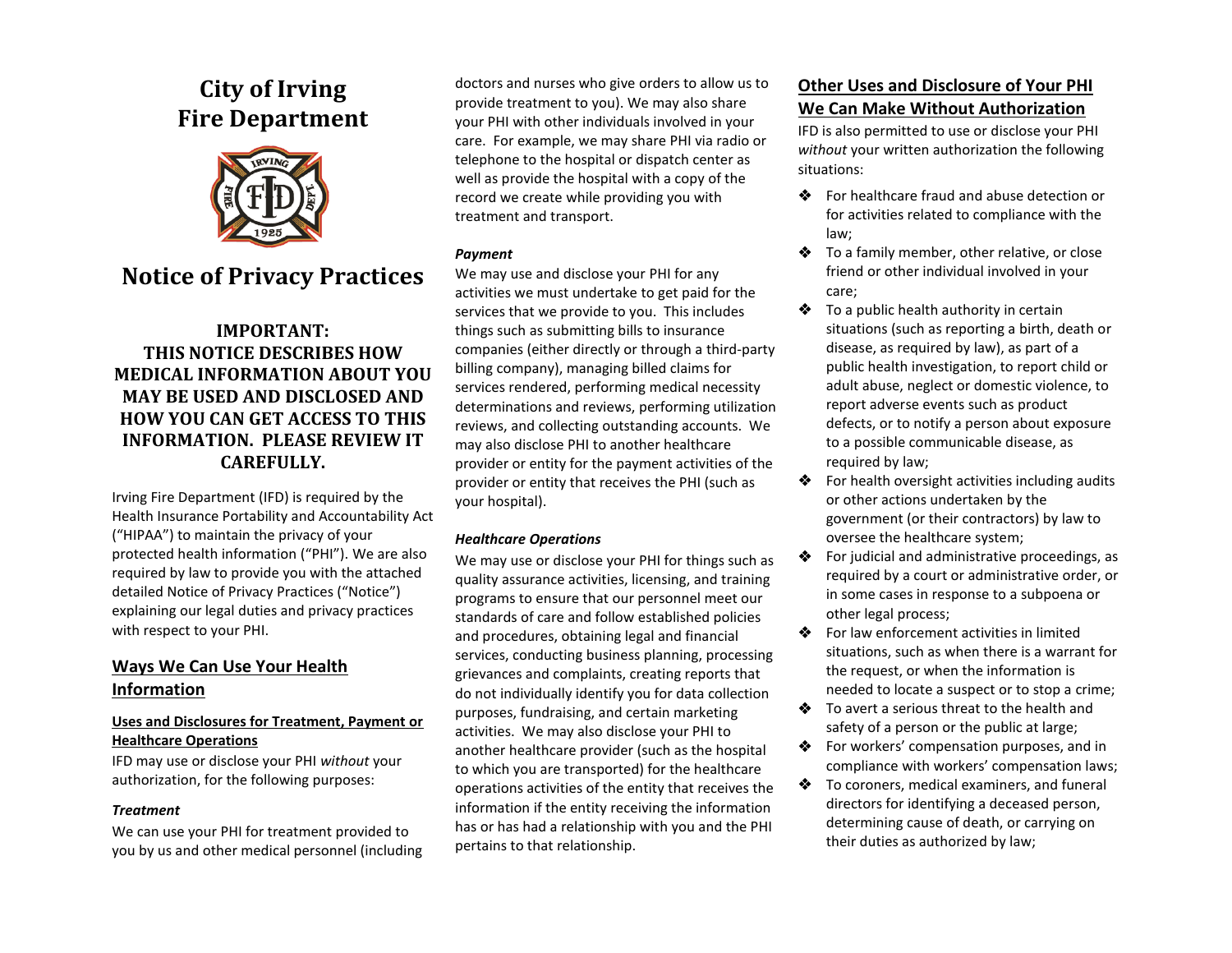# **City of Irving Fire Department**



# **Notice of Privacy Practices**

# **IMPORTANT: THIS NOTICE DESCRIBES HOW MEDICAL INFORMATION ABOUT YOU MAY BE USED AND DISCLOSED AND HOW YOU CAN GET ACCESS TO THIS INFORMATION. PLEASE REVIEW IT CAREFULLY.**

Irving Fire Department (IFD) is required by the Health Insurance Portability and Accountability Act ("HIPAA") to maintain the privacy of your protected health information ("PHI"). We are also required by law to provide you with the attached detailed Notice of Privacy Practices ("Notice") explaining our legal duties and privacy practices with respect to your PHI.

## **Ways We Can Use Your Health Information**

## **Uses and Disclosures for Treatment, Payment or Healthcare Operations**

IFD may use or disclose your PHI *without* your authorization, for the following purposes:

#### *Treatment*

We can use your PHI for treatment provided to you by us and other medical personnel (including

doctors and nurses who give orders to allow us to provide treatment to you). We may also share your PHI with other individuals involved in your care. For example, we may share PHI via radio or telephone to the hospital or dispatch center as well as provide the hospital with a copy of the record we create while providing you with treatment and transport.

### *Payment*

We may use and disclose your PHI for any activities we must undertake to get paid for the services that we provide to you. This includes things such as submitting bills to insurance companies (either directly or through a third-party billing company), managing billed claims for services rendered, performing medical necessity determinations and reviews, performing utilization reviews, and collecting outstanding accounts. We may also disclose PHI to another healthcare provider or entity for the payment activities of the provider or entity that receives the PHI (such as your hospital).

## *Healthcare Operations*

We may use or disclose your PHI for things such as quality assurance activities, licensing, and training programs to ensure that our personnel meet our standards of care and follow established policies and procedures, obtaining legal and financial services, conducting business planning, processing grievances and complaints, creating reports that do not individually identify you for data collection purposes, fundraising, and certain marketing activities. We may also disclose your PHI to another healthcare provider (such as the hospital to which you are transported) for the healthcare operations activities of the entity that receives the information if the entity receiving the information has or has had a relationship with you and the PHI pertains to that relationship.

# **Other Uses and Disclosure of Your PHI We Can Make Without Authorization**

IFD is also permitted to use or disclose your PHI *without* your written authorization the following situations:

- For healthcare fraud and abuse detection or for activities related to compliance with the law;
- To a family member, other relative, or close friend or other individual involved in your care;
- $\triangle$  To a public health authority in certain situations (such as reporting a birth, death or disease, as required by law), as part of a public health investigation, to report child or adult abuse, neglect or domestic violence, to report adverse events such as product defects, or to notify a person about exposure to a possible communicable disease, as required by law;
- For health oversight activities including audits or other actions undertaken by the government (or their contractors) by law to oversee the healthcare system;
- For judicial and administrative proceedings, as required by a court or administrative order, or in some cases in response to a subpoena or other legal process;
- For law enforcement activities in limited situations, such as when there is a warrant for the request, or when the information is needed to locate a suspect or to stop a crime;
- To avert a serious threat to the health and safety of a person or the public at large;
- **❖** For workers' compensation purposes, and in compliance with workers' compensation laws;
- To coroners, medical examiners, and funeral directors for identifying a deceased person, determining cause of death, or carrying on their duties as authorized by law;